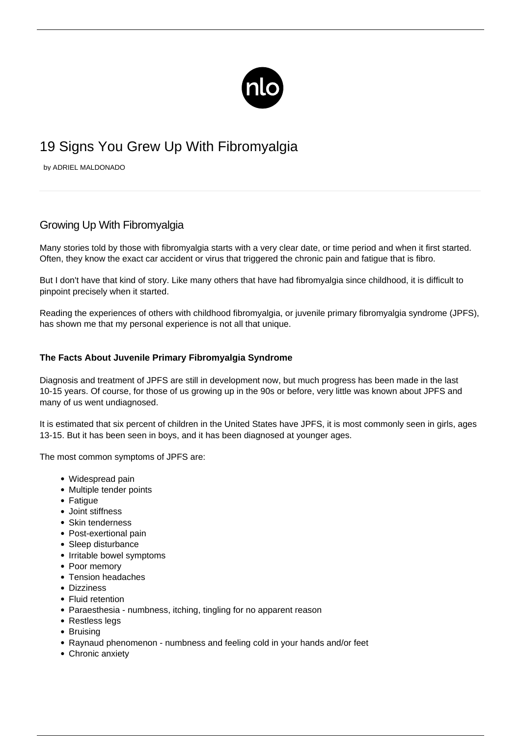

# 19 Signs You Grew Up With Fibromyalgia

by ADRIEL MALDONADO

## Growing Up With Fibromyalgia

Many stories told by those with [fibromyalgia](/what-is-fibromyalgia/) starts with a very clear date, or time period and when it first started. Often, they know the exact car accident or virus that triggered the chronic pain and fatigue that is fibro.

But I don't have that kind of story. Like many others that have had fibromyalgia since childhood, it is difficult to pinpoint precisely when it started.

Reading the experiences of others with childhood fibromyalgia, or [juvenile primary fibromyalgia syndrome \(JPFS\),](/juvenile-fibromyalgia/) has shown me that my personal experience is not all that unique.

#### **The Facts About Juvenile Primary Fibromyalgia Syndrome**

Diagnosis and treatment of JPFS are still in development now, but much progress has been made in the last 10-15 years. Of course, for those of us growing up in the 90s or before, very little was known about JPFS and many of us went undiagnosed.

It is estimated that six percent of children in the United States have JPFS, it is most commonly seen in girls, ages 13-15. But it has been seen in boys, and it has been diagnosed at younger ages.

The most common symptoms of JPFS are:

- Widespread pain
- Multiple tender points
- Fatique
- Joint stiffness
- Skin tenderness
- Post-exertional pain
- Sleep disturbance
- Irritable bowel symptoms
- Poor memory
- Tension headaches
- Dizziness
- Fluid retention
- Paraesthesia numbness, itching, tingling for no apparent reason
- Restless legs
- Bruising
- Raynaud phenomenon numbness and feeling cold in your hands and/or feet
- Chronic anxiety